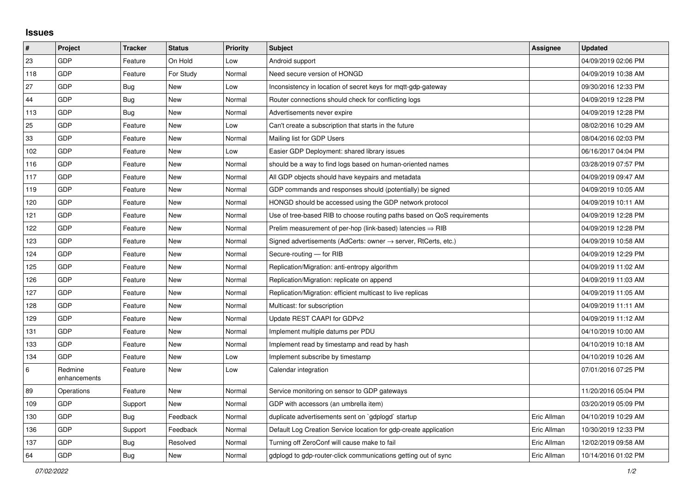## **Issues**

| #   | <b>Project</b>          | <b>Tracker</b> | <b>Status</b> | <b>Priority</b> | <b>Subject</b>                                                             | <b>Assignee</b> | <b>Updated</b>      |
|-----|-------------------------|----------------|---------------|-----------------|----------------------------------------------------------------------------|-----------------|---------------------|
| 23  | GDP                     | Feature        | On Hold       | Low             | Android support                                                            |                 | 04/09/2019 02:06 PM |
| 118 | GDP                     | Feature        | For Study     | Normal          | Need secure version of HONGD                                               |                 | 04/09/2019 10:38 AM |
| 27  | GDP                     | <b>Bug</b>     | <b>New</b>    | Low             | Inconsistency in location of secret keys for mqtt-gdp-gateway              |                 | 09/30/2016 12:33 PM |
| 44  | GDP                     | <b>Bug</b>     | New           | Normal          | Router connections should check for conflicting logs                       |                 | 04/09/2019 12:28 PM |
| 113 | GDP                     | <b>Bug</b>     | <b>New</b>    | Normal          | Advertisements never expire                                                |                 | 04/09/2019 12:28 PM |
| 25  | GDP                     | Feature        | New           | Low             | Can't create a subscription that starts in the future                      |                 | 08/02/2016 10:29 AM |
| 33  | GDP                     | Feature        | New           | Normal          | Mailing list for GDP Users                                                 |                 | 08/04/2016 02:03 PM |
| 102 | GDP                     | Feature        | <b>New</b>    | Low             | Easier GDP Deployment: shared library issues                               |                 | 06/16/2017 04:04 PM |
| 116 | GDP                     | Feature        | New           | Normal          | should be a way to find logs based on human-oriented names                 |                 | 03/28/2019 07:57 PM |
| 117 | GDP                     | Feature        | New           | Normal          | All GDP objects should have keypairs and metadata                          |                 | 04/09/2019 09:47 AM |
| 119 | GDP                     | Feature        | <b>New</b>    | Normal          | GDP commands and responses should (potentially) be signed                  |                 | 04/09/2019 10:05 AM |
| 120 | GDP                     | Feature        | New           | Normal          | HONGD should be accessed using the GDP network protocol                    |                 | 04/09/2019 10:11 AM |
| 121 | GDP                     | Feature        | New           | Normal          | Use of tree-based RIB to choose routing paths based on QoS requirements    |                 | 04/09/2019 12:28 PM |
| 122 | GDP                     | Feature        | <b>New</b>    | Normal          | Prelim measurement of per-hop (link-based) latencies $\Rightarrow$ RIB     |                 | 04/09/2019 12:28 PM |
| 123 | GDP                     | Feature        | <b>New</b>    | Normal          | Signed advertisements (AdCerts: owner $\rightarrow$ server, RtCerts, etc.) |                 | 04/09/2019 10:58 AM |
| 124 | GDP                     | Feature        | New           | Normal          | Secure-routing - for RIB                                                   |                 | 04/09/2019 12:29 PM |
| 125 | GDP                     | Feature        | New           | Normal          | Replication/Migration: anti-entropy algorithm                              |                 | 04/09/2019 11:02 AM |
| 126 | GDP                     | Feature        | <b>New</b>    | Normal          | Replication/Migration: replicate on append                                 |                 | 04/09/2019 11:03 AM |
| 127 | GDP                     | Feature        | New           | Normal          | Replication/Migration: efficient multicast to live replicas                |                 | 04/09/2019 11:05 AM |
| 128 | GDP                     | Feature        | <b>New</b>    | Normal          | Multicast: for subscription                                                |                 | 04/09/2019 11:11 AM |
| 129 | GDP                     | Feature        | New           | Normal          | Update REST CAAPI for GDPv2                                                |                 | 04/09/2019 11:12 AM |
| 131 | GDP                     | Feature        | New           | Normal          | Implement multiple datums per PDU                                          |                 | 04/10/2019 10:00 AM |
| 133 | GDP                     | Feature        | <b>New</b>    | Normal          | Implement read by timestamp and read by hash                               |                 | 04/10/2019 10:18 AM |
| 134 | GDP                     | Feature        | <b>New</b>    | Low             | Implement subscribe by timestamp                                           |                 | 04/10/2019 10:26 AM |
| 6   | Redmine<br>enhancements | Feature        | <b>New</b>    | Low             | Calendar integration                                                       |                 | 07/01/2016 07:25 PM |
| 89  | Operations              | Feature        | <b>New</b>    | Normal          | Service monitoring on sensor to GDP gateways                               |                 | 11/20/2016 05:04 PM |
| 109 | GDP                     | Support        | <b>New</b>    | Normal          | GDP with accessors (an umbrella item)                                      |                 | 03/20/2019 05:09 PM |
| 130 | GDP                     | <b>Bug</b>     | Feedback      | Normal          | duplicate advertisements sent on `gdplogd` startup                         | Eric Allman     | 04/10/2019 10:29 AM |
| 136 | GDP                     | Support        | Feedback      | Normal          | Default Log Creation Service location for gdp-create application           | Eric Allman     | 10/30/2019 12:33 PM |
| 137 | GDP                     | <b>Bug</b>     | Resolved      | Normal          | Turning off ZeroConf will cause make to fail                               | Eric Allman     | 12/02/2019 09:58 AM |
| 64  | GDP                     | <b>Bug</b>     | <b>New</b>    | Normal          | gdplogd to gdp-router-click communications getting out of sync             | Eric Allman     | 10/14/2016 01:02 PM |